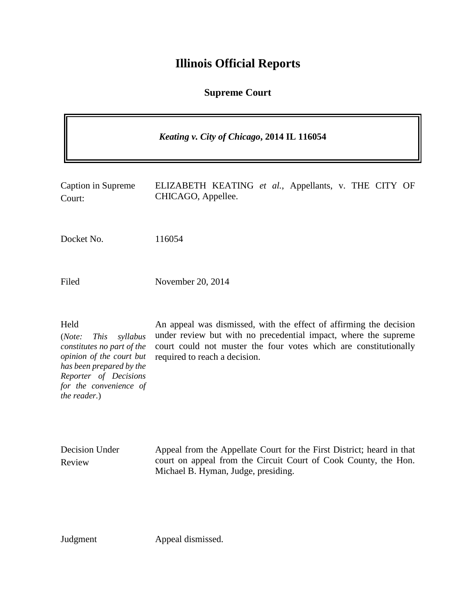## **Illinois Official Reports**

## **Supreme Court**

|                                                                                                                                                                                                    | Keating v. City of Chicago, 2014 IL 116054                                                                                                                                                                                                 |
|----------------------------------------------------------------------------------------------------------------------------------------------------------------------------------------------------|--------------------------------------------------------------------------------------------------------------------------------------------------------------------------------------------------------------------------------------------|
| Caption in Supreme<br>Court:                                                                                                                                                                       | ELIZABETH KEATING et al., Appellants, v. THE CITY OF<br>CHICAGO, Appellee.                                                                                                                                                                 |
| Docket No.                                                                                                                                                                                         | 116054                                                                                                                                                                                                                                     |
| Filed                                                                                                                                                                                              | November 20, 2014                                                                                                                                                                                                                          |
| Held<br>(Note:<br><b>This</b><br>syllabus<br>constitutes no part of the<br>opinion of the court but<br>has been prepared by the<br>Reporter of Decisions<br>for the convenience of<br>the reader.) | An appeal was dismissed, with the effect of affirming the decision<br>under review but with no precedential impact, where the supreme<br>court could not muster the four votes which are constitutionally<br>required to reach a decision. |
| Decision Under<br>Review                                                                                                                                                                           | Appeal from the Appellate Court for the First District; heard in that<br>court on appeal from the Circuit Court of Cook County, the Hon.<br>Michael B. Hyman, Judge, presiding.                                                            |

Judgment Appeal dismissed.